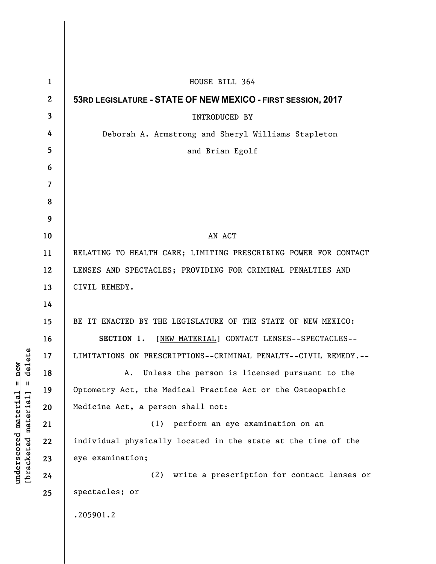|                      | $\mathbf{1}$   | HOUSE BILL 364                                                  |
|----------------------|----------------|-----------------------------------------------------------------|
|                      | $\overline{2}$ | 53RD LEGISLATURE - STATE OF NEW MEXICO - FIRST SESSION, 2017    |
| delete<br>Ш          | 3              | <b>INTRODUCED BY</b>                                            |
|                      | 4              | Deborah A. Armstrong and Sheryl Williams Stapleton              |
|                      | 5              | and Brian Egolf                                                 |
|                      | 6              |                                                                 |
|                      | 7              |                                                                 |
|                      | 8              |                                                                 |
|                      | 9              |                                                                 |
|                      | 10             | AN ACT                                                          |
|                      | 11             | RELATING TO HEALTH CARE; LIMITING PRESCRIBING POWER FOR CONTACT |
|                      | 12             | LENSES AND SPECTACLES; PROVIDING FOR CRIMINAL PENALTIES AND     |
|                      | 13             | CIVIL REMEDY.                                                   |
|                      | 14             |                                                                 |
|                      | 15             | BE IT ENACTED BY THE LEGISLATURE OF THE STATE OF NEW MEXICO:    |
|                      | 16             | SECTION 1. [NEW MATERIAL] CONTACT LENSES--SPECTACLES--          |
|                      | 17             | LIMITATIONS ON PRESCRIPTIONS--CRIMINAL PENALTY--CIVIL REMEDY.-- |
|                      | 18             | Unless the person is licensed pursuant to the<br>Α.             |
|                      | 19             | Optometry Act, the Medical Practice Act or the Osteopathic      |
|                      | 20             | Medicine Act, a person shall not:                               |
|                      | 21             | perform an eye examination on an<br>(1)                         |
|                      | 22             | individual physically located in the state at the time of the   |
| [bracketed-material] | 23             | eye examination;                                                |
|                      | 24             | write a prescription for contact lenses or<br>(2)               |
|                      | 25             | spectacles; or                                                  |
|                      |                | .205901.2                                                       |

**underscored material = new [bracketed material] = delete**

 $underscored material = new$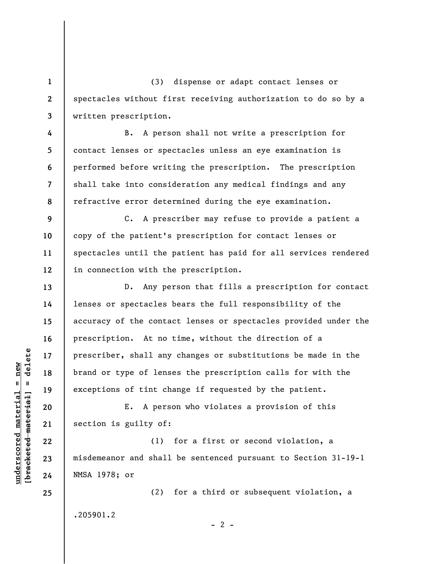(3) dispense or adapt contact lenses or spectacles without first receiving authorization to do so by a written prescription.

B. A person shall not write a prescription for contact lenses or spectacles unless an eye examination is performed before writing the prescription. The prescription shall take into consideration any medical findings and any refractive error determined during the eye examination.

**9 10 11 12**  C. A prescriber may refuse to provide a patient a copy of the patient's prescription for contact lenses or spectacles until the patient has paid for all services rendered in connection with the prescription.

D. Any person that fills a prescription for contact lenses or spectacles bears the full responsibility of the accuracy of the contact lenses or spectacles provided under the prescription. At no time, without the direction of a prescriber, shall any changes or substitutions be made in the brand or type of lenses the prescription calls for with the exceptions of tint change if requested by the patient.

E. A person who violates a provision of this section is guilty of:

(1) for a first or second violation, a misdemeanor and shall be sentenced pursuant to Section 31-19-1 NMSA 1978; or

.205901.2

(2) for a third or subsequent violation, a

 $- 2 -$ 

 $b$ racketed material] = delete **[bracketed material] = delete**  $underscored material = new$ **underscored material = new**

**1** 

**2** 

**3** 

**4** 

**5** 

**6** 

**7** 

**8** 

**13** 

**14** 

**15** 

**16** 

**17** 

**18** 

**19** 

**20** 

**21** 

**22** 

**23** 

**24** 

**25**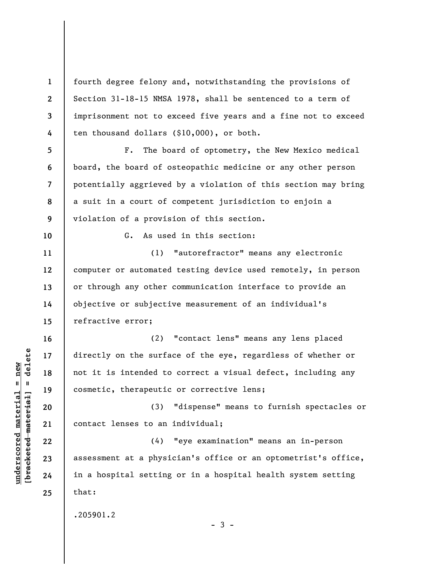**1 2 3 4**  fourth degree felony and, notwithstanding the provisions of Section 31-18-15 NMSA 1978, shall be sentenced to a term of imprisonment not to exceed five years and a fine not to exceed ten thousand dollars (\$10,000), or both.

**5 6 7 8 9**  F. The board of optometry, the New Mexico medical board, the board of osteopathic medicine or any other person potentially aggrieved by a violation of this section may bring a suit in a court of competent jurisdiction to enjoin a violation of a provision of this section.

G. As used in this section:

(1) "autorefractor" means any electronic computer or automated testing device used remotely, in person or through any other communication interface to provide an objective or subjective measurement of an individual's refractive error;

(2) "contact lens" means any lens placed directly on the surface of the eye, regardless of whether or not it is intended to correct a visual defect, including any cosmetic, therapeutic or corrective lens;

(3) "dispense" means to furnish spectacles or contact lenses to an individual;

(4) "eye examination" means an in-person assessment at a physician's office or an optometrist's office, in a hospital setting or in a hospital health system setting that:

.205901.2

 $-3 -$ 

 $\frac{1}{2}$  of  $\frac{1}{2}$  and  $\frac{1}{2}$  and  $\frac{1}{2}$  and  $\frac{1}{2}$  and  $\frac{1}{2}$  and  $\frac{1}{2}$  and  $\frac{1}{2}$  and  $\frac{1}{2}$  and  $\frac{1}{2}$  and  $\frac{1}{2}$  and  $\frac{1}{2}$  and  $\frac{1}{2}$  and  $\frac{1}{2}$  and  $\frac{1}{2}$  and  $\frac{1}{2}$  an **[bracketed material] = delete**  $underscored material = new$ **underscored material = new**

**10** 

**11** 

**12** 

**13** 

**14** 

**15** 

**16** 

**17** 

**18** 

**19** 

**20** 

**21** 

**22** 

**23** 

**24** 

**25**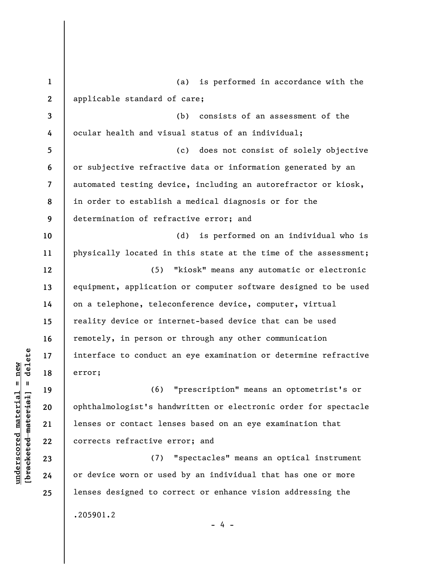**1 2 3 4 5 6 7 8 9 10 11 12 13 14 15 16 17 18 19 20 21 22 23 24 25**  (a) is performed in accordance with the applicable standard of care; (b) consists of an assessment of the ocular health and visual status of an individual; (c) does not consist of solely objective or subjective refractive data or information generated by an automated testing device, including an autorefractor or kiosk, in order to establish a medical diagnosis or for the determination of refractive error; and (d) is performed on an individual who is physically located in this state at the time of the assessment; (5) "kiosk" means any automatic or electronic equipment, application or computer software designed to be used on a telephone, teleconference device, computer, virtual reality device or internet-based device that can be used remotely, in person or through any other communication interface to conduct an eye examination or determine refractive error; (6) "prescription" means an optometrist's or ophthalmologist's handwritten or electronic order for spectacle lenses or contact lenses based on an eye examination that corrects refractive error; and (7) "spectacles" means an optical instrument or device worn or used by an individual that has one or more lenses designed to correct or enhance vision addressing the .205901.2

 $\frac{1}{2}$  of  $\frac{1}{2}$  and  $\frac{1}{2}$  and  $\frac{1}{2}$  and  $\frac{1}{2}$  and  $\frac{1}{2}$  and  $\frac{1}{2}$  and  $\frac{1}{2}$  and  $\frac{1}{2}$  and  $\frac{1}{2}$  and  $\frac{1}{2}$  and  $\frac{1}{2}$  and  $\frac{1}{2}$  and  $\frac{1}{2}$  and  $\frac{1}{2}$  and  $\frac{1}{2}$  an **[bracketed material] = delete**  $underscored material = new$ **underscored material = new**

- 4 -